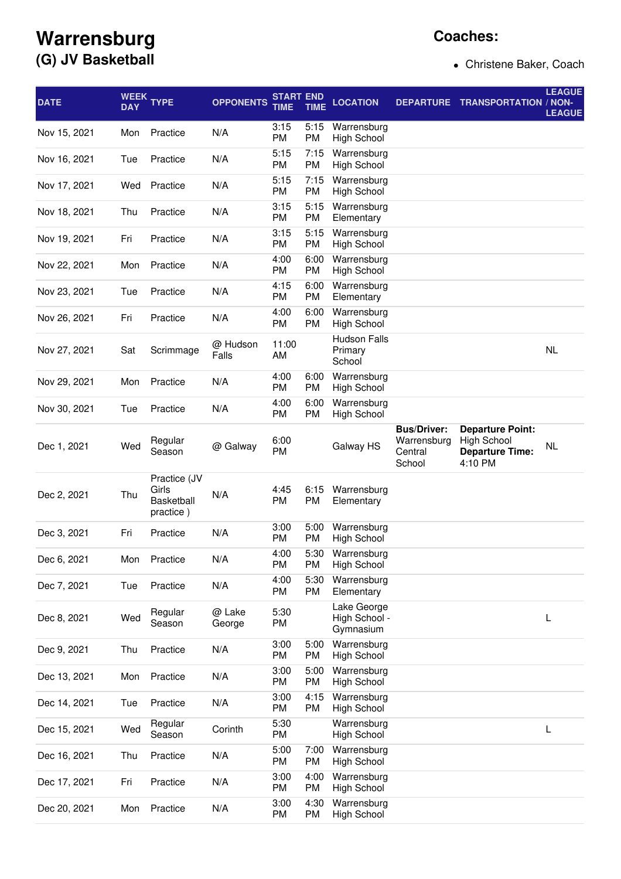## **Warrensburg (G) JV Basketball**

## **Coaches:**

Christene Baker, Coach

| <b>DATE</b>  | <b>WEEK</b><br><b>DAY</b> | <b>TYPE</b>                                             | <b>OPPONENTS</b>  | <b>START END</b><br>TIME | <b>TIME</b>       | <b>LOCATION</b>                           | <b>DEPARTURE</b>                                       | <b>TRANSPORTATION / NON-</b>                                                       | <b>LEAGUE</b><br><b>LEAGUE</b> |
|--------------|---------------------------|---------------------------------------------------------|-------------------|--------------------------|-------------------|-------------------------------------------|--------------------------------------------------------|------------------------------------------------------------------------------------|--------------------------------|
| Nov 15, 2021 | Mon                       | Practice                                                | N/A               | 3:15<br>PM               | 5:15<br><b>PM</b> | Warrensburg<br><b>High School</b>         |                                                        |                                                                                    |                                |
| Nov 16, 2021 | Tue                       | Practice                                                | N/A               | 5:15<br><b>PM</b>        | 7:15<br>PM        | Warrensburg<br><b>High School</b>         |                                                        |                                                                                    |                                |
| Nov 17, 2021 | Wed                       | Practice                                                | N/A               | 5:15<br><b>PM</b>        | 7:15<br><b>PM</b> | Warrensburg<br><b>High School</b>         |                                                        |                                                                                    |                                |
| Nov 18, 2021 | Thu                       | Practice                                                | N/A               | 3:15<br><b>PM</b>        | 5:15<br>PM        | Warrensburg<br>Elementary                 |                                                        |                                                                                    |                                |
| Nov 19, 2021 | Fri                       | Practice                                                | N/A               | 3:15<br>PM               | 5:15<br>PM        | Warrensburg<br><b>High School</b>         |                                                        |                                                                                    |                                |
| Nov 22, 2021 | Mon                       | Practice                                                | N/A               | 4:00<br><b>PM</b>        | 6:00<br>PM        | Warrensburg<br><b>High School</b>         |                                                        |                                                                                    |                                |
| Nov 23, 2021 | Tue                       | Practice                                                | N/A               | 4:15<br>PM               | 6:00<br><b>PM</b> | Warrensburg<br>Elementary                 |                                                        |                                                                                    |                                |
| Nov 26, 2021 | Fri                       | Practice                                                | N/A               | 4:00<br><b>PM</b>        | 6:00<br><b>PM</b> | Warrensburg<br><b>High School</b>         |                                                        |                                                                                    |                                |
| Nov 27, 2021 | Sat                       | Scrimmage                                               | @ Hudson<br>Falls | 11:00<br>AM              |                   | <b>Hudson Falls</b><br>Primary<br>School  |                                                        |                                                                                    | <b>NL</b>                      |
| Nov 29, 2021 | Mon                       | Practice                                                | N/A               | 4:00<br>PM               | 6:00<br><b>PM</b> | Warrensburg<br><b>High School</b>         |                                                        |                                                                                    |                                |
| Nov 30, 2021 | Tue                       | Practice                                                | N/A               | 4:00<br>PM               | 6:00<br><b>PM</b> | Warrensburg<br><b>High School</b>         |                                                        |                                                                                    |                                |
| Dec 1, 2021  | Wed                       | Regular<br>Season                                       | @ Galway          | 6:00<br><b>PM</b>        |                   | Galway HS                                 | <b>Bus/Driver:</b><br>Warrensburg<br>Central<br>School | <b>Departure Point:</b><br><b>High School</b><br><b>Departure Time:</b><br>4:10 PM | NL                             |
| Dec 2, 2021  | Thu                       | Practice (JV<br>Girls<br><b>Basketball</b><br>practice) | N/A               | 4:45<br>PM               | 6:15<br><b>PM</b> | Warrensburg<br>Elementary                 |                                                        |                                                                                    |                                |
| Dec 3, 2021  | Fri                       | Practice                                                | N/A               | 3:00<br><b>PM</b>        | 5:00<br><b>PM</b> | Warrensburg<br>High School                |                                                        |                                                                                    |                                |
| Dec 6, 2021  | Mon                       | Practice                                                | N/A               | 4:00<br><b>PM</b>        | 5:30<br>PM        | Warrensburg<br><b>High School</b>         |                                                        |                                                                                    |                                |
| Dec 7, 2021  | Tue                       | Practice                                                | N/A               | 4:00<br>PM               | 5:30<br>PM        | Warrensburg<br>Elementary                 |                                                        |                                                                                    |                                |
| Dec 8, 2021  | Wed                       | Regular<br>Season                                       | @ Lake<br>George  | 5:30<br>PM               |                   | Lake George<br>High School -<br>Gymnasium |                                                        |                                                                                    | L                              |
| Dec 9, 2021  | Thu                       | Practice                                                | N/A               | 3:00<br><b>PM</b>        | 5:00<br>PM        | Warrensburg<br><b>High School</b>         |                                                        |                                                                                    |                                |
| Dec 13, 2021 | Mon                       | Practice                                                | N/A               | 3:00<br>PM               | 5:00<br>PM        | Warrensburg<br><b>High School</b>         |                                                        |                                                                                    |                                |
| Dec 14, 2021 | Tue                       | Practice                                                | N/A               | 3:00<br>PM               | 4:15<br>PM        | Warrensburg<br><b>High School</b>         |                                                        |                                                                                    |                                |
| Dec 15, 2021 | Wed                       | Regular<br>Season                                       | Corinth           | 5:30<br>PM               |                   | Warrensburg<br><b>High School</b>         |                                                        |                                                                                    | L                              |
| Dec 16, 2021 | Thu                       | Practice                                                | N/A               | 5:00<br>PM               | 7:00<br>PM        | Warrensburg<br><b>High School</b>         |                                                        |                                                                                    |                                |
| Dec 17, 2021 | Fri                       | Practice                                                | N/A               | 3:00<br>PM               | 4:00<br>PM        | Warrensburg<br><b>High School</b>         |                                                        |                                                                                    |                                |
| Dec 20, 2021 | Mon                       | Practice                                                | N/A               | 3:00<br>PM               | 4:30<br><b>PM</b> | Warrensburg<br><b>High School</b>         |                                                        |                                                                                    |                                |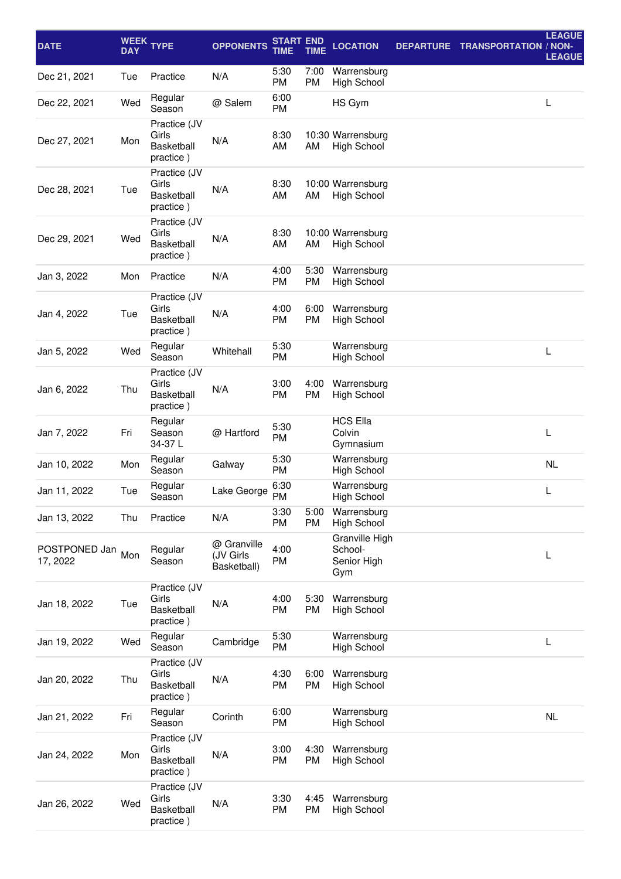| <b>DATE</b>               | <b>DAY</b> | WEEK TYPE                                               | <b>OPPONENTS</b>                        | <b>START END</b><br><b>TIME</b> | <b>TIME</b> | <b>LOCATION</b>                                 | <b>DEPARTURE</b> | <b>TRANSPORTATION / NON-</b> | <b>LEAGUE</b><br><b>LEAGUE</b> |
|---------------------------|------------|---------------------------------------------------------|-----------------------------------------|---------------------------------|-------------|-------------------------------------------------|------------------|------------------------------|--------------------------------|
| Dec 21, 2021              | Tue        | Practice                                                | N/A                                     | 5:30<br>PM                      | 7:00<br>PM  | Warrensburg<br><b>High School</b>               |                  |                              |                                |
| Dec 22, 2021              | Wed        | Regular<br>Season                                       | @ Salem                                 | 6:00<br>PM                      |             | HS Gym                                          |                  |                              | L                              |
| Dec 27, 2021              | Mon        | Practice (JV<br>Girls<br>Basketball<br>practice)        | N/A                                     | 8:30<br>AM                      | AM          | 10:30 Warrensburg<br><b>High School</b>         |                  |                              |                                |
| Dec 28, 2021              | Tue        | Practice (JV<br>Girls<br><b>Basketball</b><br>practice) | N/A                                     | 8:30<br>AM                      | AM          | 10:00 Warrensburg<br><b>High School</b>         |                  |                              |                                |
| Dec 29, 2021              | Wed        | Practice (JV<br>Girls<br><b>Basketball</b><br>practice) | N/A                                     | 8:30<br>AM                      | AM          | 10:00 Warrensburg<br><b>High School</b>         |                  |                              |                                |
| Jan 3, 2022               | Mon        | Practice                                                | N/A                                     | 4:00<br>PM                      | 5:30<br>PM  | Warrensburg<br><b>High School</b>               |                  |                              |                                |
| Jan 4, 2022               | Tue        | Practice (JV<br>Girls<br><b>Basketball</b><br>practice) | N/A                                     | 4:00<br>PM                      | 6:00<br>PM  | Warrensburg<br><b>High School</b>               |                  |                              |                                |
| Jan 5, 2022               | Wed        | Regular<br>Season                                       | Whitehall                               | 5:30<br>PM                      |             | Warrensburg<br><b>High School</b>               |                  |                              | L                              |
| Jan 6, 2022               | Thu        | Practice (JV<br>Girls<br><b>Basketball</b><br>practice) | N/A                                     | 3:00<br>PM                      | 4:00<br>PM  | Warrensburg<br><b>High School</b>               |                  |                              |                                |
| Jan 7, 2022               | Fri        | Regular<br>Season<br>34-37L                             | @ Hartford                              | 5:30<br>PM                      |             | <b>HCS Ella</b><br>Colvin<br>Gymnasium          |                  |                              | L                              |
| Jan 10, 2022              | Mon        | Regular<br>Season                                       | Galway                                  | 5:30<br>PM                      |             | Warrensburg<br><b>High School</b>               |                  |                              | <b>NL</b>                      |
| Jan 11, 2022              | Tue        | Regular<br>Season                                       | Lake George                             | 6:30<br>PM                      |             | Warrensburg<br>High School                      |                  |                              | L                              |
| Jan 13, 2022              | Thu        | Practice                                                | N/A                                     | 3:30<br>PM                      | 5:00<br>PM  | Warrensburg<br><b>High School</b>               |                  |                              |                                |
| POSTPONED Jan<br>17, 2022 | Mon        | Regular<br>Season                                       | @ Granville<br>(JV Girls<br>Basketball) | 4:00<br>PM                      |             | Granville High<br>School-<br>Senior High<br>Gym |                  |                              | L                              |
| Jan 18, 2022              | Tue        | Practice (JV<br>Girls<br><b>Basketball</b><br>practice) | N/A                                     | 4:00<br>PM                      | 5:30<br>PM  | Warrensburg<br><b>High School</b>               |                  |                              |                                |
| Jan 19, 2022              | Wed        | Regular<br>Season                                       | Cambridge                               | 5:30<br>PM                      |             | Warrensburg<br><b>High School</b>               |                  |                              | L                              |
| Jan 20, 2022              | Thu        | Practice (JV<br>Girls<br>Basketball<br>practice)        | N/A                                     | 4:30<br>PM                      | 6:00<br>PM  | Warrensburg<br><b>High School</b>               |                  |                              |                                |
| Jan 21, 2022              | Fri        | Regular<br>Season                                       | Corinth                                 | 6:00<br>PM                      |             | Warrensburg<br><b>High School</b>               |                  |                              | NL                             |
| Jan 24, 2022              | Mon        | Practice (JV<br>Girls<br>Basketball<br>practice)        | N/A                                     | 3:00<br>PM                      | 4:30<br>PM  | Warrensburg<br><b>High School</b>               |                  |                              |                                |
| Jan 26, 2022              | Wed        | Practice (JV<br>Girls<br>Basketball<br>practice)        | N/A                                     | 3:30<br>PM                      | 4:45<br>PM  | Warrensburg<br><b>High School</b>               |                  |                              |                                |